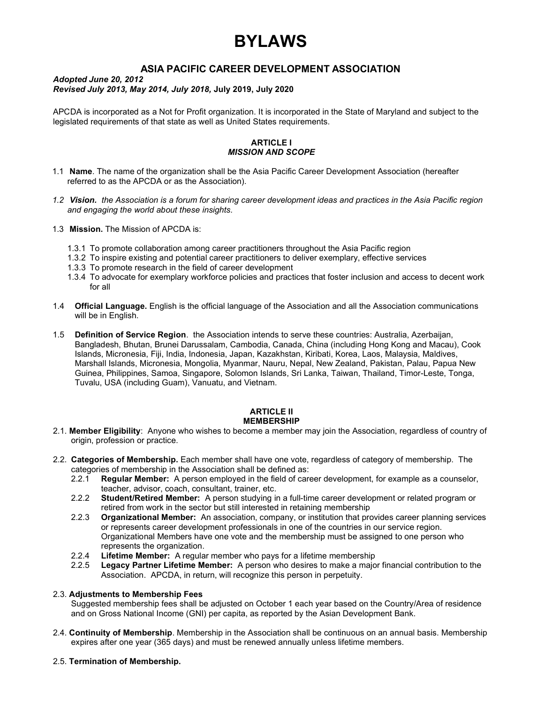# BYLAWS

# ASIA PACIFIC CAREER DEVELOPMENT ASSOCIATION

#### Adopted June 20, 2012 Revised July 2013, May 2014, July 2018, July 2019, July 2020

APCDA is incorporated as a Not for Profit organization. It is incorporated in the State of Maryland and subject to the legislated requirements of that state as well as United States requirements.

### ARTICLE I MISSION AND SCOPE

- 1.1 Name. The name of the organization shall be the Asia Pacific Career Development Association (hereafter referred to as the APCDA or as the Association).
- 1.2 Vision. the Association is a forum for sharing career development ideas and practices in the Asia Pacific region and engaging the world about these insights.
- 1.3 **Mission.** The Mission of APCDA is:
	- 1.3.1 To promote collaboration among career practitioners throughout the Asia Pacific region
	- 1.3.2 To inspire existing and potential career practitioners to deliver exemplary, effective services
	- 1.3.3 To promote research in the field of career development
	- 1.3.4 To advocate for exemplary workforce policies and practices that foster inclusion and access to decent work for all
- 1.4 Official Language. English is the official language of the Association and all the Association communications will be in English.
- 1.5 Definition of Service Region. the Association intends to serve these countries: Australia, Azerbaijan, Bangladesh, Bhutan, Brunei Darussalam, Cambodia, Canada, China (including Hong Kong and Macau), Cook Islands, Micronesia, Fiji, India, Indonesia, Japan, Kazakhstan, Kiribati, Korea, Laos, Malaysia, Maldives, Marshall Islands, Micronesia, Mongolia, Myanmar, Nauru, Nepal, New Zealand, Pakistan, Palau, Papua New Guinea, Philippines, Samoa, Singapore, Solomon Islands, Sri Lanka, Taiwan, Thailand, Timor-Leste, Tonga, Tuvalu, USA (including Guam), Vanuatu, and Vietnam.

#### **ARTICI F II** MEMBERSHIP

- 2.1. Member Eligibility: Anyone who wishes to become a member may join the Association, regardless of country of origin, profession or practice.
- 2.2. Categories of Membership. Each member shall have one vote, regardless of category of membership. The categories of membership in the Association shall be defined as:
	- 2.2.1 Regular Member: A person employed in the field of career development, for example as a counselor, teacher, advisor, coach, consultant, trainer, etc.
	- 2.2.2 Student/Retired Member: A person studying in a full-time career development or related program or retired from work in the sector but still interested in retaining membership
	- 2.2.3 Organizational Member: An association, company, or institution that provides career planning services or represents career development professionals in one of the countries in our service region. Organizational Members have one vote and the membership must be assigned to one person who represents the organization.
	- 2.2.4 **Lifetime Member:** A regular member who pays for a lifetime membership
	- 2.2.5 Legacy Partner Lifetime Member: A person who desires to make a major financial contribution to the Association. APCDA, in return, will recognize this person in perpetuity.

## 2.3. Adjustments to Membership Fees

 Suggested membership fees shall be adjusted on October 1 each year based on the Country/Area of residence and on Gross National Income (GNI) per capita, as reported by the Asian Development Bank.

2.4. Continuity of Membership. Membership in the Association shall be continuous on an annual basis. Membership expires after one year (365 days) and must be renewed annually unless lifetime members.

#### 2.5. Termination of Membership.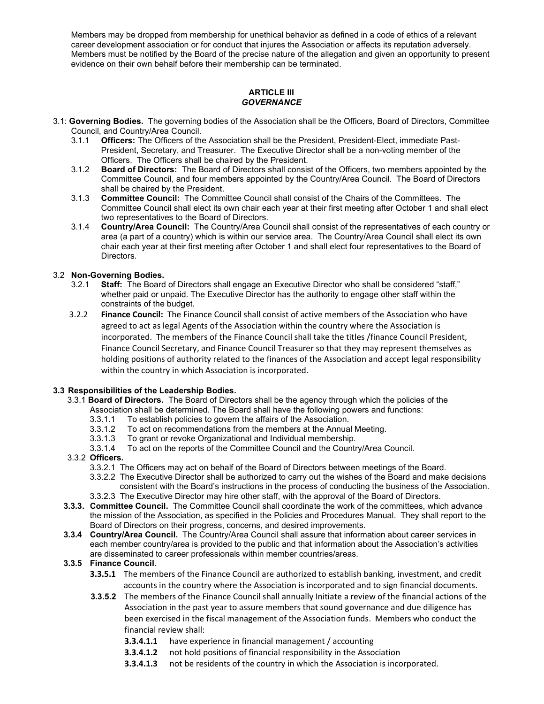Members may be dropped from membership for unethical behavior as defined in a code of ethics of a relevant career development association or for conduct that injures the Association or affects its reputation adversely. Members must be notified by the Board of the precise nature of the allegation and given an opportunity to present evidence on their own behalf before their membership can be terminated.

## **ARTICLE III GOVERNANCE**

- 3.1: Governing Bodies. The governing bodies of the Association shall be the Officers, Board of Directors, Committee Council, and Country/Area Council.
	- 3.1.1 Officers: The Officers of the Association shall be the President, President-Elect, immediate Past-President, Secretary, and Treasurer. The Executive Director shall be a non-voting member of the Officers. The Officers shall be chaired by the President.
	- 3.1.2 Board of Directors: The Board of Directors shall consist of the Officers, two members appointed by the Committee Council, and four members appointed by the Country/Area Council. The Board of Directors shall be chaired by the President.
	- 3.1.3 Committee Council: The Committee Council shall consist of the Chairs of the Committees. The Committee Council shall elect its own chair each year at their first meeting after October 1 and shall elect two representatives to the Board of Directors.
	- 3.1.4 Country/Area Council: The Country/Area Council shall consist of the representatives of each country or area (a part of a country) which is within our service area. The Country/Area Council shall elect its own chair each year at their first meeting after October 1 and shall elect four representatives to the Board of Directors.

# 3.2 Non-Governing Bodies.

- 3.2.1 Staff: The Board of Directors shall engage an Executive Director who shall be considered "staff," whether paid or unpaid. The Executive Director has the authority to engage other staff within the constraints of the budget.
- 3.2.2 Finance Council: The Finance Council shall consist of active members of the Association who have agreed to act as legal Agents of the Association within the country where the Association is incorporated. The members of the Finance Council shall take the titles /finance Council President, Finance Council Secretary, and Finance Council Treasurer so that they may represent themselves as holding positions of authority related to the finances of the Association and accept legal responsibility within the country in which Association is incorporated.

# 3.3 Responsibilities of the Leadership Bodies.

- 3.3.1 Board of Directors. The Board of Directors shall be the agency through which the policies of the Association shall be determined. The Board shall have the following powers and functions:
	- 3.3.1.1 To establish policies to govern the affairs of the Association.
	- 3.3.1.2 To act on recommendations from the members at the Annual Meeting.
	- 3.3.1.3 To grant or revoke Organizational and Individual membership.
	- 3.3.1.4 To act on the reports of the Committee Council and the Country/Area Council.

# 3.3.2 Officers.

- 3.3.2.1 The Officers may act on behalf of the Board of Directors between meetings of the Board.
- 3.3.2.2 The Executive Director shall be authorized to carry out the wishes of the Board and make decisions consistent with the Board's instructions in the process of conducting the business of the Association.
- 3.3.2.3 The Executive Director may hire other staff, with the approval of the Board of Directors.
- 3.3.3. Committee Council. The Committee Council shall coordinate the work of the committees, which advance the mission of the Association, as specified in the Policies and Procedures Manual. They shall report to the Board of Directors on their progress, concerns, and desired improvements.
- 3.3.4 Country/Area Council. The Country/Area Council shall assure that information about career services in each member country/area is provided to the public and that information about the Association's activities are disseminated to career professionals within member countries/areas.

# 3.3.5 Finance Council.

- **3.3.5.1** The members of the Finance Council are authorized to establish banking, investment, and credit accounts in the country where the Association is incorporated and to sign financial documents.
- 3.3.5.2 The members of the Finance Council shall annually Initiate a review of the financial actions of the Association in the past year to assure members that sound governance and due diligence has been exercised in the fiscal management of the Association funds. Members who conduct the financial review shall:
	- 3.3.4.1.1 have experience in financial management / accounting
	- **3.3.4.1.2** not hold positions of financial responsibility in the Association
	- **3.3.4.1.3** not be residents of the country in which the Association is incorporated.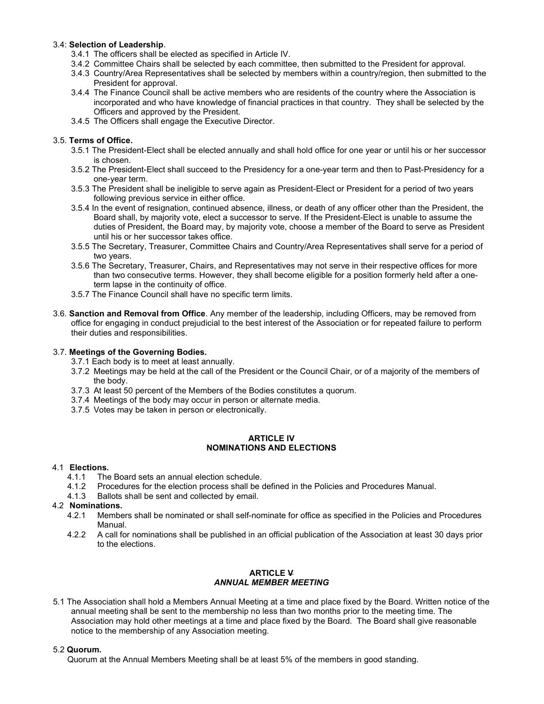## 3.4: Selection of Leadership.

- 3.4.1 The officers shall be elected as specified in Article IV.
- 3.4.2 Committee Chairs shall be selected by each committee, then submitted to the President for approval.
- 3.4.3 Country/Area Representatives shall be selected by members within a country/region, then submitted to the President for approval.
- 3.4.4 The Finance Council shall be active members who are residents of the country where the Association is incorporated and who have knowledge of financial practices in that country. They shall be selected by the Officers and approved by the President.
- 3.4.5 The Officers shall engage the Executive Director.

## 3.5. Terms of Office.

- 3.5.1 The President-Elect shall be elected annually and shall hold office for one year or until his or her successor is chosen.
- 3.5.2 The President-Elect shall succeed to the Presidency for a one-year term and then to Past-Presidency for a one-year term.
- 3.5.3 The President shall be ineligible to serve again as President-Elect or President for a period of two years following previous service in either office.
- 3.5.4 In the event of resignation, continued absence, illness, or death of any officer other than the President, the Board shall, by majority vote, elect a successor to serve. If the President-Elect is unable to assume the duties of President, the Board may, by majority vote, choose a member of the Board to serve as President until his or her successor takes office.
- 3.5.5 The Secretary, Treasurer, Committee Chairs and Country/Area Representatives shall serve for a period of two years.
- 3.5.6 The Secretary, Treasurer, Chairs, and Representatives may not serve in their respective offices for more than two consecutive terms. However, they shall become eligible for a position formerly held after a oneterm lapse in the continuity of office.
- 3.5.7 The Finance Council shall have no specific term limits.
- 3.6. Sanction and Removal from Office. Any member of the leadership, including Officers, may be removed from office for engaging in conduct prejudicial to the best interest of the Association or for repeated failure to perform their duties and responsibilities.

### 3.7. Meetings of the Governing Bodies.

- 3.7.1 Each body is to meet at least annually.
- 3.7.2 Meetings may be held at the call of the President or the Council Chair, or of a majority of the members of the body.
- 3.7.3 At least 50 percent of the Members of the Bodies constitutes a quorum.
- 3.7.4 Meetings of the body may occur in person or alternate media.
- 3.7.5 Votes may be taken in person or electronically.

### ARTICLE IV NOMINATIONS AND ELECTIONS

## 4.1 Elections.

- 4.1.1 The Board sets an annual election schedule.
- 4.1.2 Procedures for the election process shall be defined in the Policies and Procedures Manual.
- 4.1.3 Ballots shall be sent and collected by email.

## 4.2 Nominations.

- 4.2.1 Members shall be nominated or shall self-nominate for office as specified in the Policies and Procedures Manual.
- 4.2.2 A call for nominations shall be published in an official publication of the Association at least 30 days prior to the elections.

### ARTICLE V ANNUAL MEMBER MEETING

5.1 The Association shall hold a Members Annual Meeting at a time and place fixed by the Board. Written notice of the annual meeting shall be sent to the membership no less than two months prior to the meeting time. The Association may hold other meetings at a time and place fixed by the Board. The Board shall give reasonable notice to the membership of any Association meeting.

#### 5.2 Quorum.

Quorum at the Annual Members Meeting shall be at least 5% of the members in good standing.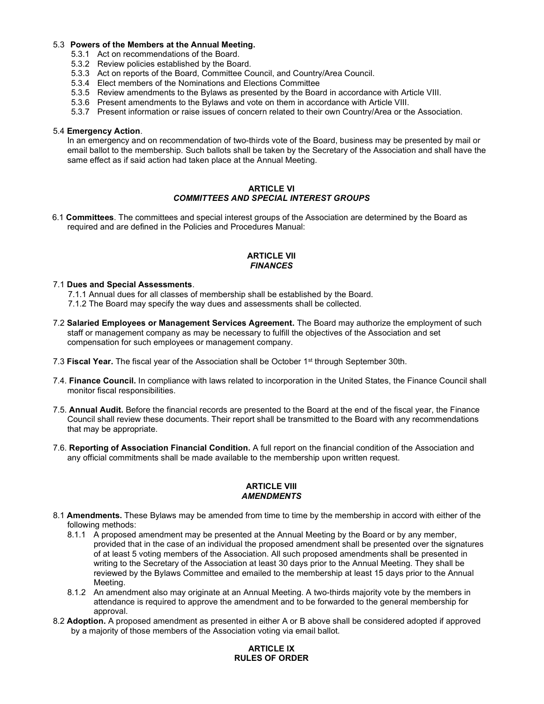### 5.3 Powers of the Members at the Annual Meeting.

- 5.3.1 Act on recommendations of the Board.
- 5.3.2 Review policies established by the Board.
- 5.3.3 Act on reports of the Board, Committee Council, and Country/Area Council.
- 5.3.4 Elect members of the Nominations and Elections Committee
- 5.3.5 Review amendments to the Bylaws as presented by the Board in accordance with Article VIII.
- 5.3.6 Present amendments to the Bylaws and vote on them in accordance with Article VIII.
- 5.3.7 Present information or raise issues of concern related to their own Country/Area or the Association.

#### 5.4 Emergency Action.

In an emergency and on recommendation of two-thirds vote of the Board, business may be presented by mail or email ballot to the membership. Such ballots shall be taken by the Secretary of the Association and shall have the same effect as if said action had taken place at the Annual Meeting.

### ARTICLE VI COMMITTEES AND SPECIAL INTEREST GROUPS

6.1 Committees. The committees and special interest groups of the Association are determined by the Board as required and are defined in the Policies and Procedures Manual:

#### ARTICLE VII FINANCES

### 7.1 Dues and Special Assessments.

7.1.1 Annual dues for all classes of membership shall be established by the Board.

- 7.1.2 The Board may specify the way dues and assessments shall be collected.
- 7.2 Salaried Employees or Management Services Agreement. The Board may authorize the employment of such staff or management company as may be necessary to fulfill the objectives of the Association and set compensation for such employees or management company.
- 7.3 Fiscal Year. The fiscal year of the Association shall be October 1<sup>st</sup> through September 30th.
- 7.4. Finance Council. In compliance with laws related to incorporation in the United States, the Finance Council shall monitor fiscal responsibilities.
- 7.5. Annual Audit. Before the financial records are presented to the Board at the end of the fiscal year, the Finance Council shall review these documents. Their report shall be transmitted to the Board with any recommendations that may be appropriate.
- 7.6. Reporting of Association Financial Condition. A full report on the financial condition of the Association and any official commitments shall be made available to the membership upon written request.

### ARTICLE VIII **AMENDMENTS**

- 8.1 Amendments. These Bylaws may be amended from time to time by the membership in accord with either of the following methods:
	- 8.1.1 A proposed amendment may be presented at the Annual Meeting by the Board or by any member, provided that in the case of an individual the proposed amendment shall be presented over the signatures of at least 5 voting members of the Association. All such proposed amendments shall be presented in writing to the Secretary of the Association at least 30 days prior to the Annual Meeting. They shall be reviewed by the Bylaws Committee and emailed to the membership at least 15 days prior to the Annual Meeting.
	- 8.1.2 An amendment also may originate at an Annual Meeting. A two-thirds majority vote by the members in attendance is required to approve the amendment and to be forwarded to the general membership for approval.
- 8.2 Adoption. A proposed amendment as presented in either A or B above shall be considered adopted if approved by a majority of those members of the Association voting via email ballot.

# ARTICLE IX RULES OF ORDER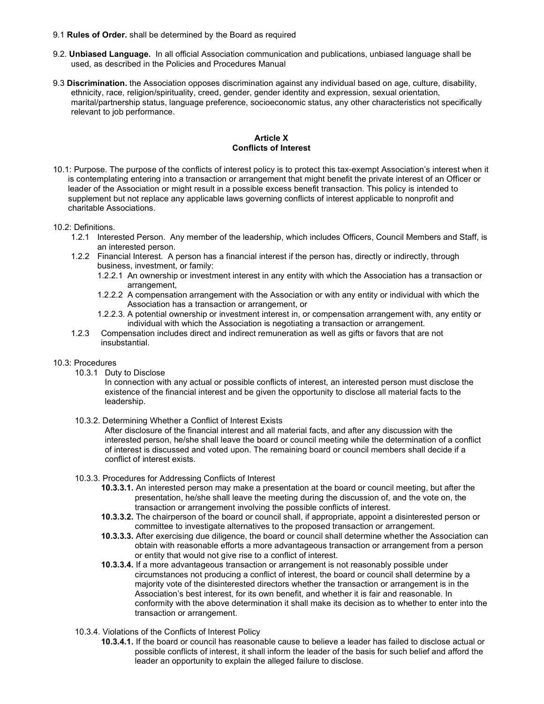- 9.1 Rules of Order. shall be determined by the Board as required
- 9.2. Unbiased Language. In all official Association communication and publications, unbiased language shall be used, as described in the Policies and Procedures Manual
- 9.3 Discrimination. the Association opposes discrimination against any individual based on age, culture, disability, ethnicity, race, religion/spirituality, creed, gender, gender identity and expression, sexual orientation, marital/partnership status, language preference, socioeconomic status, any other characteristics not specifically relevant to job performance.

#### Article X Conflicts of Interest

- 10.1: Purpose. The purpose of the conflicts of interest policy is to protect this tax-exempt Association's interest when it is contemplating entering into a transaction or arrangement that might benefit the private interest of an Officer or leader of the Association or might result in a possible excess benefit transaction. This policy is intended to supplement but not replace any applicable laws governing conflicts of interest applicable to nonprofit and charitable Associations.
- 10.2: Definitions.
	- 1.2.1 Interested Person. Any member of the leadership, which includes Officers, Council Members and Staff, is an interested person.
	- 1.2.2 Financial Interest. A person has a financial interest if the person has, directly or indirectly, through business, investment, or family:
		- 1.2.2.1 An ownership or investment interest in any entity with which the Association has a transaction or arrangement,
		- 1.2.2.2 A compensation arrangement with the Association or with any entity or individual with which the Association has a transaction or arrangement, or
		- 1.2.2.3. A potential ownership or investment interest in, or compensation arrangement with, any entity or individual with which the Association is negotiating a transaction or arrangement.
	- 1.2.3 Compensation includes direct and indirect remuneration as well as gifts or favors that are not insubstantial.
- 10.3: Procedures
	- 10.3.1 Duty to Disclose

In connection with any actual or possible conflicts of interest, an interested person must disclose the existence of the financial interest and be given the opportunity to disclose all material facts to the leadership.

10.3.2. Determining Whether a Conflict of Interest Exists

After disclosure of the financial interest and all material facts, and after any discussion with the interested person, he/she shall leave the board or council meeting while the determination of a conflict of interest is discussed and voted upon. The remaining board or council members shall decide if a conflict of interest exists.

- 10.3.3. Procedures for Addressing Conflicts of Interest
	- 10.3.3.1. An interested person may make a presentation at the board or council meeting, but after the presentation, he/she shall leave the meeting during the discussion of, and the vote on, the transaction or arrangement involving the possible conflicts of interest.
	- 10.3.3.2. The chairperson of the board or council shall, if appropriate, appoint a disinterested person or committee to investigate alternatives to the proposed transaction or arrangement.
	- 10.3.3.3. After exercising due diligence, the board or council shall determine whether the Association can obtain with reasonable efforts a more advantageous transaction or arrangement from a person or entity that would not give rise to a conflict of interest.
	- 10.3.3.4. If a more advantageous transaction or arrangement is not reasonably possible under circumstances not producing a conflict of interest, the board or council shall determine by a majority vote of the disinterested directors whether the transaction or arrangement is in the Association's best interest, for its own benefit, and whether it is fair and reasonable. In conformity with the above determination it shall make its decision as to whether to enter into the transaction or arrangement.
- 10.3.4. Violations of the Conflicts of Interest Policy
	- 10.3.4.1. If the board or council has reasonable cause to believe a leader has failed to disclose actual or possible conflicts of interest, it shall inform the leader of the basis for such belief and afford the leader an opportunity to explain the alleged failure to disclose.